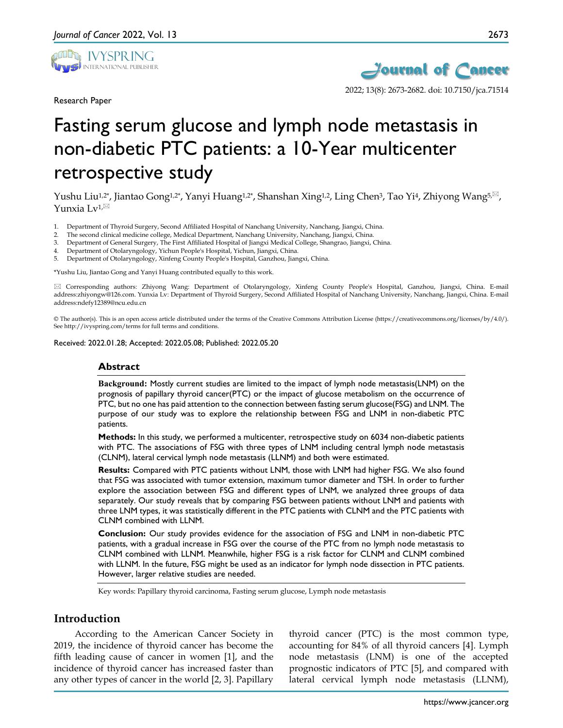

Research Paper



# Fasting serum glucose and lymph node metastasis in non-diabetic PTC patients: a 10-Year multicenter retrospective study

Yushu Liu<sup>1,2\*</sup>, Jiantao Gong<sup>1,2\*</sup>, Yanyi Huang<sup>1,2\*</sup>, Shanshan Xing<sup>1,2</sup>, Ling Chen<sup>3</sup>, Tao Yi<sup>4</sup>, Zhiyong Wang<sup>5, $\boxtimes$ </sup>, Yunxia Lv1, $^{\boxtimes}$ 

- 1. Department of Thyroid Surgery, Second Affiliated Hospital of Nanchang University, Nanchang, Jiangxi, China.
- 2. The second clinical medicine college, Medical Department, Nanchang University, Nanchang, Jiangxi, China.
- 3. Department of General Surgery, The First Affiliated Hospital of Jiangxi Medical College, Shangrao, Jiangxi, China.
- 4. Department of Otolaryngology, Yichun People's Hospital, Yichun, Jiangxi, China.
- 5. Department of Otolaryngology, Xinfeng County People's Hospital, Ganzhou, Jiangxi, China.

\*Yushu Liu, Jiantao Gong and Yanyi Huang contributed equally to this work.

 Corresponding authors: Zhiyong Wang: Department of Otolaryngology, Xinfeng County People's Hospital, Ganzhou, Jiangxi, China. E-mail address:zhiyongw@126.com. Yunxia Lv: Department of Thyroid Surgery, Second Affiliated Hospital of Nanchang University, Nanchang, Jiangxi, China. E-mail address:ndefy12389@ncu.edu.cn

© The author(s). This is an open access article distributed under the terms of the Creative Commons Attribution License (https://creativecommons.org/licenses/by/4.0/). See http://ivyspring.com/terms for full terms and conditions.

Received: 2022.01.28; Accepted: 2022.05.08; Published: 2022.05.20

#### **Abstract**

**Background:** Mostly current studies are limited to the impact of lymph node metastasis(LNM) on the prognosis of papillary thyroid cancer(PTC) or the impact of glucose metabolism on the occurrence of PTC, but no one has paid attention to the connection between fasting serum glucose(FSG) and LNM. The purpose of our study was to explore the relationship between FSG and LNM in non-diabetic PTC patients.

**Methods:** In this study, we performed a multicenter, retrospective study on 6034 non-diabetic patients with PTC. The associations of FSG with three types of LNM including central lymph node metastasis (CLNM), lateral cervical lymph node metastasis (LLNM) and both were estimated.

**Results:** Compared with PTC patients without LNM, those with LNM had higher FSG. We also found that FSG was associated with tumor extension, maximum tumor diameter and TSH. In order to further explore the association between FSG and different types of LNM, we analyzed three groups of data separately. Our study reveals that by comparing FSG between patients without LNM and patients with three LNM types, it was statistically different in the PTC patients with CLNM and the PTC patients with CLNM combined with LLNM.

**Conclusion:** Our study provides evidence for the association of FSG and LNM in non-diabetic PTC patients, with a gradual increase in FSG over the course of the PTC from no lymph node metastasis to CLNM combined with LLNM. Meanwhile, higher FSG is a risk factor for CLNM and CLNM combined with LLNM. In the future, FSG might be used as an indicator for lymph node dissection in PTC patients. However, larger relative studies are needed.

Key words: Papillary thyroid carcinoma, Fasting serum glucose, Lymph node metastasis

## **Introduction**

According to the American Cancer Society in 2019, the incidence of thyroid cancer has become the fifth leading cause of cancer in women [1], and the incidence of thyroid cancer has increased faster than any other types of cancer in the world [2, 3]. Papillary

thyroid cancer (PTC) is the most common type, accounting for 84% of all thyroid cancers [4]. Lymph node metastasis (LNM) is one of the accepted prognostic indicators of PTC [5], and compared with lateral cervical lymph node metastasis (LLNM),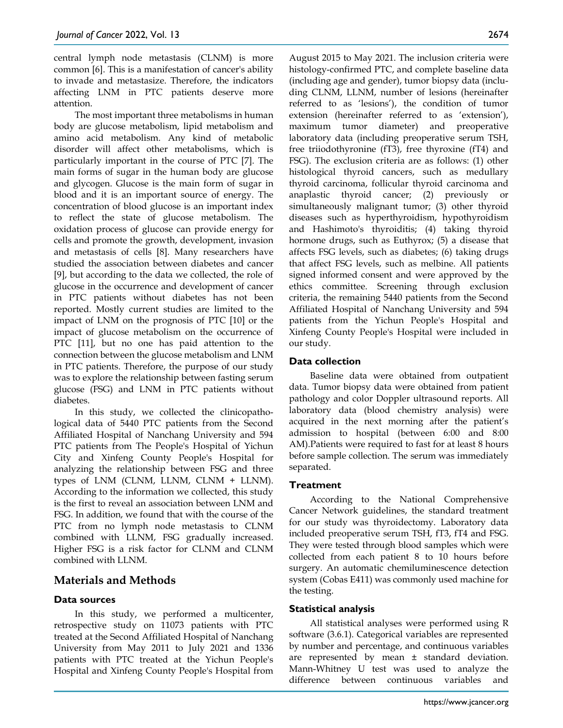central lymph node metastasis (CLNM) is more common [6]. This is a manifestation of cancer's ability to invade and metastasize. Therefore, the indicators affecting LNM in PTC patients deserve more attention.

The most important three metabolisms in human body are glucose metabolism, lipid metabolism and amino acid metabolism. Any kind of metabolic disorder will affect other metabolisms, which is particularly important in the course of PTC [7]. The main forms of sugar in the human body are glucose and glycogen. Glucose is the main form of sugar in blood and it is an important source of energy. The concentration of blood glucose is an important index to reflect the state of glucose metabolism. The oxidation process of glucose can provide energy for cells and promote the growth, development, invasion and metastasis of cells [8]. Many researchers have studied the association between diabetes and cancer [9], but according to the data we collected, the role of glucose in the occurrence and development of cancer in PTC patients without diabetes has not been reported. Mostly current studies are limited to the impact of LNM on the prognosis of PTC [10] or the impact of glucose metabolism on the occurrence of PTC [11], but no one has paid attention to the connection between the glucose metabolism and LNM in PTC patients. Therefore, the purpose of our study was to explore the relationship between fasting serum glucose (FSG) and LNM in PTC patients without diabetes.

In this study, we collected the clinicopathological data of 5440 PTC patients from the Second Affiliated Hospital of Nanchang University and 594 PTC patients from The People's Hospital of Yichun City and Xinfeng County People's Hospital for analyzing the relationship between FSG and three types of LNM (CLNM, LLNM, CLNM + LLNM). According to the information we collected, this study is the first to reveal an association between LNM and FSG. In addition, we found that with the course of the PTC from no lymph node metastasis to CLNM combined with LLNM, FSG gradually increased. Higher FSG is a risk factor for CLNM and CLNM combined with LLNM.

# **Materials and Methods**

## **Data sources**

In this study, we performed a multicenter, retrospective study on 11073 patients with PTC treated at the Second Affiliated Hospital of Nanchang University from May 2011 to July 2021 and 1336 patients with PTC treated at the Yichun People's Hospital and Xinfeng County People's Hospital from August 2015 to May 2021. The inclusion criteria were histology-confirmed PTC, and complete baseline data (including age and gender), tumor biopsy data (including CLNM, LLNM, number of lesions (hereinafter referred to as 'lesions'), the condition of tumor extension (hereinafter referred to as 'extension'), maximum tumor diameter) and preoperative laboratory data (including preoperative serum TSH, free triiodothyronine (fT3), free thyroxine (fT4) and FSG). The exclusion criteria are as follows: (1) other histological thyroid cancers, such as medullary thyroid carcinoma, follicular thyroid carcinoma and anaplastic thyroid cancer; (2) previously or simultaneously malignant tumor; (3) other thyroid diseases such as hyperthyroidism, hypothyroidism and Hashimoto's thyroiditis; (4) taking thyroid hormone drugs, such as Euthyrox; (5) a disease that affects FSG levels, such as diabetes; (6) taking drugs that affect FSG levels, such as melbine. All patients signed informed consent and were approved by the ethics committee. Screening through exclusion criteria, the remaining 5440 patients from the Second Affiliated Hospital of Nanchang University and 594 patients from the Yichun People's Hospital and Xinfeng County People's Hospital were included in our study.

## **Data collection**

Baseline data were obtained from outpatient data. Tumor biopsy data were obtained from patient pathology and color Doppler ultrasound reports. All laboratory data (blood chemistry analysis) were acquired in the next morning after the patient's admission to hospital (between 6:00 and 8:00 AM).Patients were required to fast for at least 8 hours before sample collection. The serum was immediately separated.

## **Treatment**

According to the National Comprehensive Cancer Network guidelines, the standard treatment for our study was thyroidectomy. Laboratory data included preoperative serum TSH, fT3, fT4 and FSG. They were tested through blood samples which were collected from each patient 8 to 10 hours before surgery. An automatic chemiluminescence detection system (Cobas E411) was commonly used machine for the testing.

## **Statistical analysis**

All statistical analyses were performed using R software (3.6.1). Categorical variables are represented by number and percentage, and continuous variables are represented by mean ± standard deviation. Mann-Whitney U test was used to analyze the difference between continuous variables and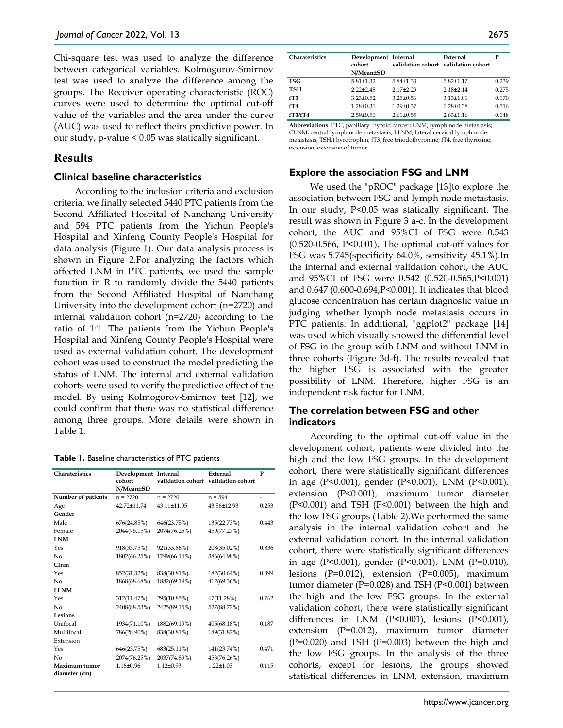Chi-square test was used to analyze the difference between categorical variables. Kolmogorov-Smirnov test was used to analyze the difference among the groups. The Receiver operating characteristic (ROC) curves were used to determine the optimal cut-off value of the variables and the area under the curve (AUC) was used to reflect theirs predictive power. In our study, p-value < 0.05 was statically significant.

## **Results**

#### **Clinical baseline characteristics**

According to the inclusion criteria and exclusion criteria, we finally selected 5440 PTC patients from the Second Affiliated Hospital of Nanchang University and 594 PTC patients from the Yichun People's Hospital and Xinfeng County People's Hospital for data analysis (Figure 1). Our data analysis process is shown in Figure 2.For analyzing the factors which affected LNM in PTC patients, we used the sample function in R to randomly divide the 5440 patients from the Second Affiliated Hospital of Nanchang University into the development cohort (n=2720) and internal validation cohort (n=2720) according to the ratio of 1:1. The patients from the Yichun People's Hospital and Xinfeng County People's Hospital were used as external validation cohort. The development cohort was used to construct the model predicting the status of LNM. The internal and external validation cohorts were used to verify the predictive effect of the model. By using Kolmogorov-Smirnov test [12], we could confirm that there was no statistical difference among three groups. More details were shown in Table 1.

**Table 1.** Baseline characteristics of PTC patients

| Charateristics     | Development Internal |                 | External                            | P     |
|--------------------|----------------------|-----------------|-------------------------------------|-------|
|                    | cohort               |                 | validation cohort validation cohort |       |
|                    | N/Mean±SD            |                 |                                     |       |
| Number of patients | $n = 2720$           | $n = 2720$      | $n = 594$                           |       |
| Age                | 42.72+11.74          | 43.11±11.95     | 43.56±12.93                         | 0.253 |
| Gender             |                      |                 |                                     |       |
| Male               | 676(24.85%)          | 646(23.75%)     | 135(22.73%)                         | 0.443 |
| Female             | 2044(75.15%)         | 2074(76.25%)    | 459(77.27%)                         |       |
| <b>LNM</b>         |                      |                 |                                     |       |
| Yes                | 918(33.75%)          | 921(33.86%)     | 208(35.02%)                         | 0.836 |
| No                 | 1802(66.25%)         | 1799(66.14%)    | 386(64.98%)                         |       |
| Clmm               |                      |                 |                                     |       |
| Yes                | 852(31.32%)          | 838(30.81%)     | 182(30.64%)                         | 0.899 |
| No                 | 1868(68.68%)         | 1882(69.19%)    | 412(69.36%)                         |       |
| <b>LLNM</b>        |                      |                 |                                     |       |
| Yes                | 312(11.47%)          | 295(10.85%)     | 67(11.28%)                          | 0.762 |
| No                 | 2408(88.53%)         | 2425(89.15%)    | 527(88.72%)                         |       |
| Lesions            |                      |                 |                                     |       |
| Unifocal           | 1934(71.10%)         | 1882(69.19%)    | 405(68.18%)                         | 0.187 |
| Multifocal         | 786(28.90%)          | 838(30.81%)     | 189(31.82%)                         |       |
| Extension          |                      |                 |                                     |       |
| Yes                | 646(23.75%)          | 683(25.11%)     | 141(23.74%)                         | 0.471 |
| No                 | 2074(76.25%)         | 2037(74.89%)    | 453(76.26%)                         |       |
| Maximum tumor      | $1.16 \pm 0.96$      | $1.12 \pm 0.93$ | $1.22 \pm 1.03$                     | 0.115 |
| diameter (cm)      |                      |                 |                                     |       |

| <b>Charateristics</b> | Development Internal<br>cohort |                 | External<br>validation cohort validation cohort | P     |
|-----------------------|--------------------------------|-----------------|-------------------------------------------------|-------|
|                       | N/Mean±SD                      |                 |                                                 |       |
| <b>FSG</b>            | $5.81 + 1.32$                  | $5.84 \pm 1.33$ | $5.82 \pm 1.17$                                 | 0.239 |
| <b>TSH</b>            | $2.22+2.48$                    | $2.17+2.29$     | $2.18 + 2.14$                                   | 0.275 |
| fT3                   | $3.23 + 0.52$                  | $3.25 + 0.56$   | $3.13 + 1.01$                                   | 0.170 |
| fT4                   | $1.28 \pm 0.31$                | $1.29 \pm 0.37$ | $1.28 \pm 0.38$                                 | 0.516 |
| fT3/fT4               | $2.59 \pm 0.50$                | $2.61 \pm 0.55$ | $2.63 \pm 1.16$                                 | 0.148 |

**Abbreviations**: PTC, papillary thyroid cancer; LNM, lymph node metastasis; CLNM, central lymph node metastasis; LLNM, lateral cervical lymph node metastasis; TSH,t hyrotrophin; fT3, free triiodothyronine; fT4, free thyroxine; extension, extension of tumor

### **Explore the association FSG and LNM**

We used the "pROC" package [13]to explore the association between FSG and lymph node metastasis. In our study, P<0.05 was statically significant. The result was shown in Figure 3 a-c. In the development cohort, the AUC and 95%CI of FSG were 0.543 (0.520-0.566, P<0.001). The optimal cut-off values for FSG was 5.745(specificity 64.0%, sensitivity 45.1%).In the internal and external validation cohort, the AUC and 95%CI of FSG were 0.542 (0.520-0.565,P<0.001) and 0.647 (0.600-0.694,P<0.001). It indicates that blood glucose concentration has certain diagnostic value in judging whether lymph node metastasis occurs in PTC patients. In additional, "ggplot2" package [14] was used which visually showed the differential level of FSG in the group with LNM and without LNM in three cohorts (Figure 3d-f). The results revealed that the higher FSG is associated with the greater possibility of LNM. Therefore, higher FSG is an independent risk factor for LNM.

## **The correlation between FSG and other indicators**

According to the optimal cut-off value in the development cohort, patients were divided into the high and the low FSG groups. In the development cohort, there were statistically significant differences in age (P<0.001), gender (P<0.001), LNM (P<0.001), extension (P<0.001), maximum tumor diameter (P<0.001) and TSH (P<0.001) between the high and the low FSG groups (Table 2).We performed the same analysis in the internal validation cohort and the external validation cohort. In the internal validation cohort, there were statistically significant differences in age (P<0.001), gender (P<0.001), LNM (P=0.010), lesions (P=0.012), extension (P=0.005), maximum tumor diameter (P=0.028) and TSH (P<0.001) between the high and the low FSG groups. In the external validation cohort, there were statistically significant differences in LNM (P<0.001), lesions (P<0.001), extension (P=0.012), maximum tumor diameter (P=0.020) and TSH (P=0.003) between the high and the low FSG groups. In the analysis of the three cohorts, except for lesions, the groups showed statistical differences in LNM, extension, maximum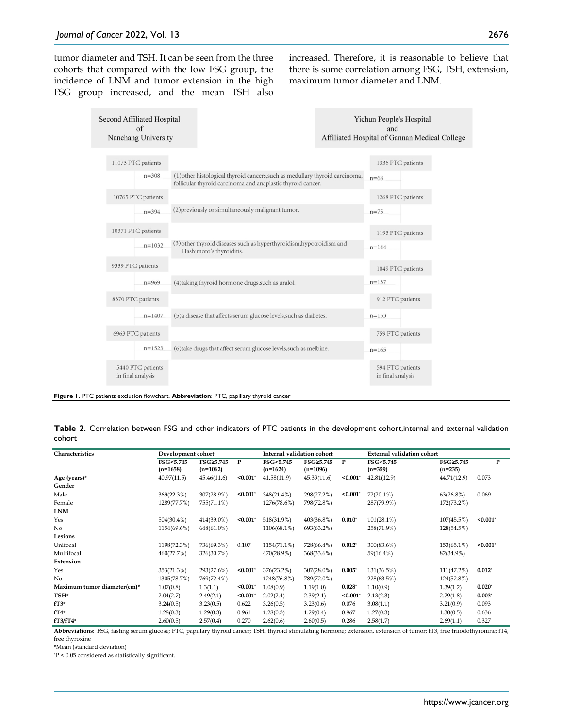tumor diameter and TSH. It can be seen from the three cohorts that compared with the low FSG group, the incidence of LNM and tumor extension in the high FSG group increased, and the mean TSH also increased. Therefore, it is reasonable to believe that there is some correlation among FSG, TSH, extension, maximum tumor diameter and LNM.

| <b>Second Affiliated Hospital</b><br>$\alpha$ f<br>Nanchang University |                                                                                                                                             | Yichun People's Hospital<br>and<br>Affiliated Hospital of Gannan Medical Colleg |  |
|------------------------------------------------------------------------|---------------------------------------------------------------------------------------------------------------------------------------------|---------------------------------------------------------------------------------|--|
| 11073 PTC patients                                                     |                                                                                                                                             | 1336 PTC patients                                                               |  |
| $n = 308$                                                              | (1) other histological thyroid cancers, such as medullary thyroid carcinoma,<br>follicular thyroid carcinoma and anaplastic thyroid cancer. | $n = 68$                                                                        |  |
| 10765 PTC patients                                                     |                                                                                                                                             | 1268 PTC patients                                                               |  |
| $n = 394$                                                              | (2) previously or simultaneously malignant tumor.                                                                                           | $n = 75$                                                                        |  |
| 10371 PTC patients                                                     |                                                                                                                                             | 1193 PTC patients                                                               |  |
| $n=1032$                                                               | (3) other thyroid diseases such as hyperthyroidism, hypotroidism and<br>Hashimoto's thyroiditis.                                            | $n = 144$                                                                       |  |
| 9339 PTC patients                                                      |                                                                                                                                             | 1049 PTC patients                                                               |  |
| $n = 969$                                                              | (4) taking thyroid hormone drugs, such as uralol.                                                                                           | $n = 137$                                                                       |  |
| 8370 PTC patients                                                      |                                                                                                                                             | 912 PTC patients                                                                |  |
| $n = 1407$                                                             | (5) a disease that affects serum glucose levels, such as diabetes.                                                                          | $n = 153$                                                                       |  |
| 6963 PTC patients                                                      |                                                                                                                                             | 759 PTC patients                                                                |  |
| $n=1523$                                                               | (6) take drugs that affect serum glucose levels, such as melbine.                                                                           | $n = 165$                                                                       |  |
| 5440 PTC patients<br>in final analysis                                 |                                                                                                                                             | 594 PTC patients<br>in final analysis                                           |  |

**Figure 1.** PTC patients exclusion flowchart. **Abbreviation**: PTC, papillary thyroid cancer

**Table 2.** Correlation between FSG and other indicators of PTC patients in the development cohort,internal and external validation cohort

| Characteristics             | Development cohort      |                         |         | Internal validation cohort |                         | <b>External validation cohort</b> |                        |                        |             |
|-----------------------------|-------------------------|-------------------------|---------|----------------------------|-------------------------|-----------------------------------|------------------------|------------------------|-------------|
|                             | FSG<5.745<br>$(n=1658)$ | FSG≥5.745<br>$(n=1062)$ | P       | FSG<5.745<br>$(n=1624)$    | FSG≥5.745<br>$(n=1096)$ | P                                 | FSG<5.745<br>$(n=359)$ | FSG≥5.745<br>$(n=235)$ | P           |
| Age (years)#                | 40.97(11.5)             | 45.46(11.6)             | < 0.001 | 41.58(11.9)                | 45.39(11.6)             | < 0.001                           | 42.81(12.9)            | 44.71(12.9)            | 0.073       |
| Gender                      |                         |                         |         |                            |                         |                                   |                        |                        |             |
| Male                        | 369(22.3%)              | 307(28.9%)              | < 0.001 | 348(21.4%)                 | 298(27.2%)              | < 0.001                           | $72(20.1\%)$           | 63(26.8%)              | 0.069       |
| Female                      | 1289(77.7%)             | 755(71.1%)              |         | 1276(78.6%)                | 798(72.8%)              |                                   | 287(79.9%)             | 172(73.2%)             |             |
| <b>LNM</b>                  |                         |                         |         |                            |                         |                                   |                        |                        |             |
| Yes                         | 504(30.4%)              | 414(39.0%)              | < 0.001 | 518(31.9%)                 | 403(36.8%)              | $0.010*$                          | $101(28.1\%)$          | 107(45.5%)             | $< 0.001$ * |
| No                          | 1154(69.6%)             | 648(61.0%)              |         | 1106(68.1%)                | 693(63.2%)              |                                   | 258(71.9%)             | 128(54.5%)             |             |
| Lesions                     |                         |                         |         |                            |                         |                                   |                        |                        |             |
| Unifocal                    | 1198(72.3%)             | 736(69.3%)              | 0.107   | 1154(71.1%)                | 728(66.4%)              | $0.012^{*}$                       | 300(83.6%)             | 153(65.1%)             | $< 0.001$ * |
| Multifocal                  | 460(27.7%)              | 326(30.7%)              |         | 470(28.9%)                 | 368(33.6%)              |                                   | 59(16.4%)              | 82(34.9%)              |             |
| Extension                   |                         |                         |         |                            |                         |                                   |                        |                        |             |
| Yes                         | 353(21.3%)              | 293(27.6%)              | < 0.001 | 376(23.2%)                 | $307(28.0\%)$           | $0.005*$                          | 131(36.5%)             | 111(47.2%)             | $0.012*$    |
| N <sub>0</sub>              | 1305(78.7%)             | 769(72.4%)              |         | 1248(76.8%)                | 789(72.0%)              |                                   | 228(63.5%)             | 124(52.8%)             |             |
| Maximum tumor diameter(cm)# | 1.07(0.8)               | 1.3(1.1)                | < 0.001 | 1.08(0.9)                  | 1.19(1.0)               | $0.028*$                          | 1.10(0.9)              | 1.39(1.2)              | $0.020*$    |
| TSH <sup>#</sup>            | 2.04(2.7)               | 2.49(2.1)               | < 0.001 | 2.02(2.4)                  | 2.39(2.1)               | < 0.001                           | 2.13(2.3)              | 2.29(1.8)              | $0.003*$    |
| $fT3*$                      | 3.24(0.5)               | 3.23(0.5)               | 0.622   | 3.26(0.5)                  | 3.23(0.6)               | 0.076                             | 3.08(1.1)              | 3.21(0.9)              | 0.093       |
| $fT4$ #                     | 1.28(0.3)               | 1.29(0.3)               | 0.961   | 1.28(0.3)                  | 1.29(0.4)               | 0.967                             | 1.27(0.3)              | 1.30(0.5)              | 0.636       |
| $fT3/fT4*$                  | 2.60(0.5)               | 2.57(0.4)               | 0.270   | 2.62(0.6)                  | 2.60(0.5)               | 0.286                             | 2.58(1.7)              | 2.69(1.1)              | 0.327       |

**Abbreviations:** FSG, fasting serum glucose; PTC, papillary thyroid cancer; TSH, thyroid stimulating hormone; extension, extension of tumor; fT3, free triiodothyronine; fT4, free thyroxine

#Mean (standard deviation)

\* P < 0.05 considered as statistically significant.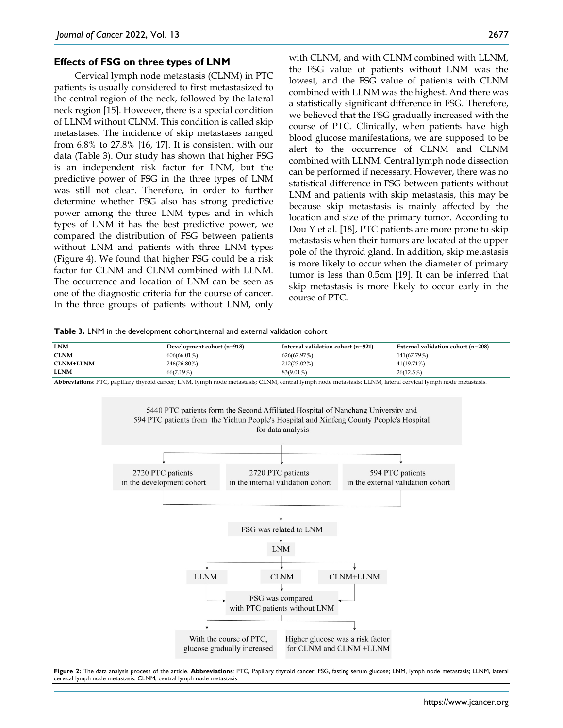#### **Effects of FSG on three types of LNM**

Cervical lymph node metastasis (CLNM) in PTC patients is usually considered to first metastasized to the central region of the neck, followed by the lateral neck region [15]. However, there is a special condition of LLNM without CLNM. This condition is called skip metastases. The incidence of skip metastases ranged from 6.8% to 27.8% [16, 17]. It is consistent with our data (Table 3). Our study has shown that higher FSG is an independent risk factor for LNM, but the predictive power of FSG in the three types of LNM was still not clear. Therefore, in order to further determine whether FSG also has strong predictive power among the three LNM types and in which types of LNM it has the best predictive power, we compared the distribution of FSG between patients without LNM and patients with three LNM types (Figure 4). We found that higher FSG could be a risk factor for CLNM and CLNM combined with LLNM. The occurrence and location of LNM can be seen as one of the diagnostic criteria for the course of cancer. In the three groups of patients without LNM, only

with CLNM, and with CLNM combined with LLNM, the FSG value of patients without LNM was the lowest, and the FSG value of patients with CLNM combined with LLNM was the highest. And there was a statistically significant difference in FSG. Therefore, we believed that the FSG gradually increased with the course of PTC. Clinically, when patients have high blood glucose manifestations, we are supposed to be alert to the occurrence of CLNM and CLNM combined with LLNM. Central lymph node dissection can be performed if necessary. However, there was no statistical difference in FSG between patients without LNM and patients with skip metastasis, this may be because skip metastasis is mainly affected by the location and size of the primary tumor. According to Dou Y et al. [18], PTC patients are more prone to skip metastasis when their tumors are located at the upper pole of the thyroid gland. In addition, skip metastasis is more likely to occur when the diameter of primary tumor is less than 0.5cm [19]. It can be inferred that skip metastasis is more likely to occur early in the course of PTC.

**Table 3.** LNM in the development cohort,internal and external validation cohort

| <b>LNM</b>       | Development cohort (n=918) | Internal validation cohort (n=921) | External validation cohort (n=208) |
|------------------|----------------------------|------------------------------------|------------------------------------|
| <b>CLNM</b>      | $606(66.01\%)$             | 626(67.97%)                        | 141(67.79%)                        |
| <b>CLNM+LLNM</b> | 246(26.80%)                | 212(23.02%)                        | 41(19.71%)                         |
| <b>LLNM</b>      | 66(7.19%)                  | 83(9.01%)                          | 26(12.5%)                          |

**Abbreviations**: PTC, papillary thyroid cancer; LNM, lymph node metastasis; CLNM, central lymph node metastasis; LLNM, lateral cervical lymph node metastasis.



**Figure 2:** The data analysis process of the article. **Abbreviations**: PTC, Papillary thyroid cancer; FSG, fasting serum glucose; LNM, lymph node metastasis; LLNM, lateral cervical lymph node metastasis; CLNM, central lymph node metastasis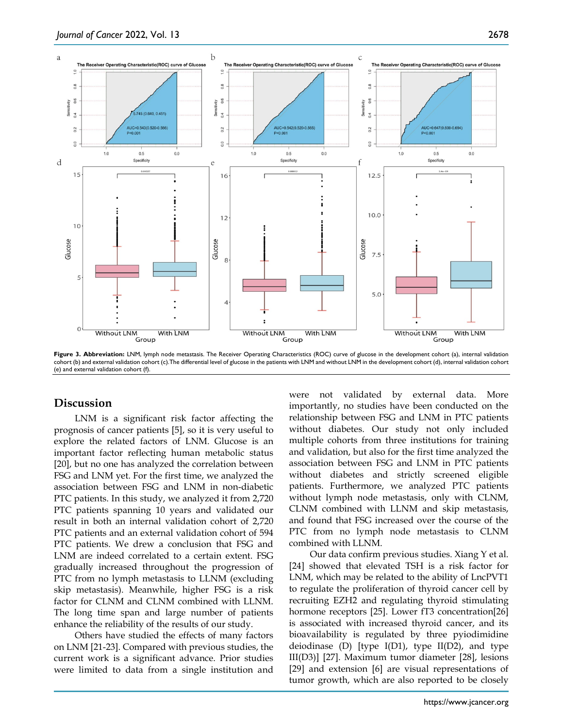

Figure 3. Abbreviation: LNM, lymph node metastasis. The Receiver Operating Characteristics (ROC) curve of glucose in the development cohort (a), internal validation cohort (b) and external validation cohort (c).The differential level of glucose in the patients with LNM and without LNM in the development cohort (d), internal validation cohort (e) and external validation cohort (f).

## **Discussion**

LNM is a significant risk factor affecting the prognosis of cancer patients [5], so it is very useful to explore the related factors of LNM. Glucose is an important factor reflecting human metabolic status [20], but no one has analyzed the correlation between FSG and LNM yet. For the first time, we analyzed the association between FSG and LNM in non-diabetic PTC patients. In this study, we analyzed it from 2,720 PTC patients spanning 10 years and validated our result in both an internal validation cohort of 2,720 PTC patients and an external validation cohort of 594 PTC patients. We drew a conclusion that FSG and LNM are indeed correlated to a certain extent. FSG gradually increased throughout the progression of PTC from no lymph metastasis to LLNM (excluding skip metastasis). Meanwhile, higher FSG is a risk factor for CLNM and CLNM combined with LLNM. The long time span and large number of patients enhance the reliability of the results of our study.

Others have studied the effects of many factors on LNM [21-23]. Compared with previous studies, the current work is a significant advance. Prior studies were limited to data from a single institution and were not validated by external data. More importantly, no studies have been conducted on the relationship between FSG and LNM in PTC patients without diabetes. Our study not only included multiple cohorts from three institutions for training and validation, but also for the first time analyzed the association between FSG and LNM in PTC patients without diabetes and strictly screened eligible patients. Furthermore, we analyzed PTC patients without lymph node metastasis, only with CLNM, CLNM combined with LLNM and skip metastasis, and found that FSG increased over the course of the PTC from no lymph node metastasis to CLNM combined with LLNM.

Our data confirm previous studies. Xiang Y et al. [24] showed that elevated TSH is a risk factor for LNM, which may be related to the ability of LncPVT1 to regulate the proliferation of thyroid cancer cell by recruiting EZH2 and regulating thyroid stimulating hormone receptors [25]. Lower fT3 concentration[26] is associated with increased thyroid cancer, and its bioavailability is regulated by three pyiodimidine deiodinase (D) [type  $I(D1)$ , type  $II(D2)$ , and type III(D3)] [27]. Maximum tumor diameter [28], lesions [29] and extension [6] are visual representations of tumor growth, which are also reported to be closely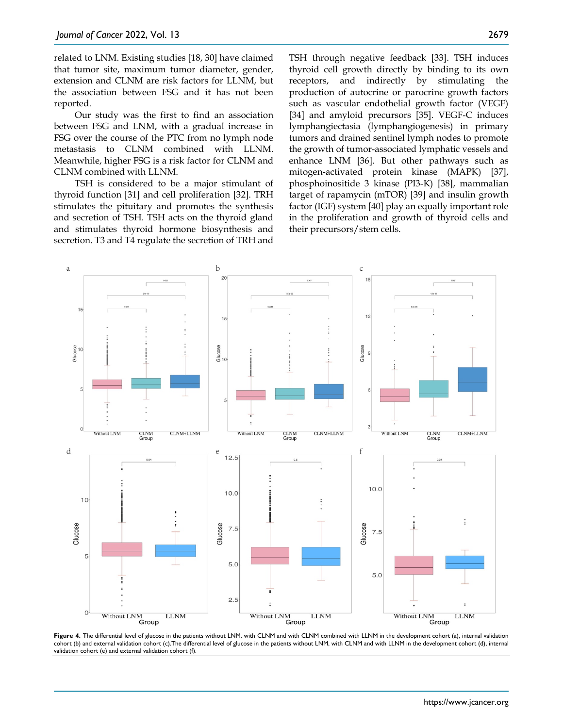related to LNM. Existing studies [18, 30] have claimed that tumor site, maximum tumor diameter, gender, extension and CLNM are risk factors for LLNM, but the association between FSG and it has not been reported.

Our study was the first to find an association between FSG and LNM, with a gradual increase in FSG over the course of the PTC from no lymph node metastasis to CLNM combined with LLNM. Meanwhile, higher FSG is a risk factor for CLNM and CLNM combined with LLNM.

TSH is considered to be a major stimulant of thyroid function [31] and cell proliferation [32]. TRH stimulates the pituitary and promotes the synthesis and secretion of TSH. TSH acts on the thyroid gland and stimulates thyroid hormone biosynthesis and secretion. T3 and T4 regulate the secretion of TRH and

TSH through negative feedback [33]. TSH induces thyroid cell growth directly by binding to its own receptors, and indirectly by stimulating the production of autocrine or parocrine growth factors such as vascular endothelial growth factor (VEGF) [34] and amyloid precursors [35]. VEGF-C induces lymphangiectasia (lymphangiogenesis) in primary tumors and drained sentinel lymph nodes to promote the growth of tumor-associated lymphatic vessels and enhance LNM [36]. But other pathways such as mitogen-activated protein kinase (MAPK) [37], phosphoinositide 3 kinase (PI3-K) [38], mammalian target of rapamycin (mTOR) [39] and insulin growth factor (IGF) system [40] play an equally important role in the proliferation and growth of thyroid cells and their precursors/stem cells.



Figure 4. The differential level of glucose in the patients without LNM, with CLNM and with CLNM combined with LLNM in the development cohort (a), internal validation cohort (b) and external validation cohort (c).The differential level of glucose in the patients without LNM, with CLNM and with LLNM in the development cohort (d), internal validation cohort (e) and external validation cohort (f).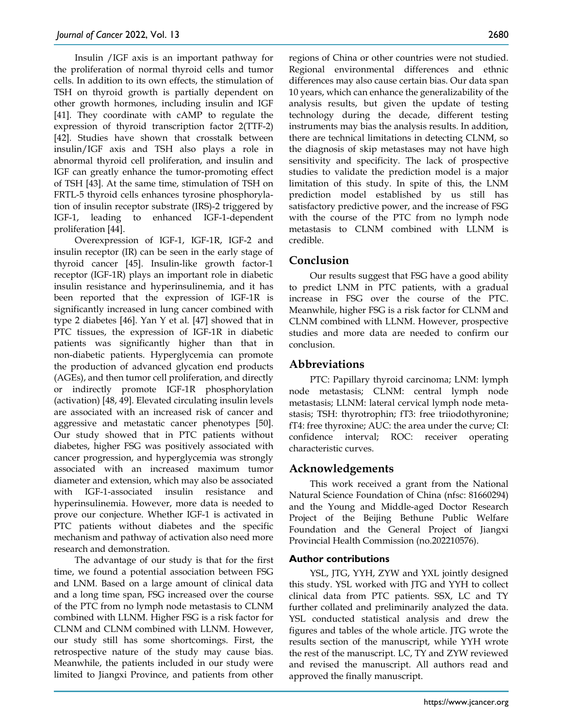Insulin /IGF axis is an important pathway for the proliferation of normal thyroid cells and tumor cells. In addition to its own effects, the stimulation of TSH on thyroid growth is partially dependent on other growth hormones, including insulin and IGF [41]. They coordinate with cAMP to regulate the expression of thyroid transcription factor 2(TTF-2) [42]. Studies have shown that crosstalk between insulin/IGF axis and TSH also plays a role in abnormal thyroid cell proliferation, and insulin and IGF can greatly enhance the tumor-promoting effect of TSH [43]. At the same time, stimulation of TSH on FRTL-5 thyroid cells enhances tyrosine phosphorylation of insulin receptor substrate (IRS)-2 triggered by IGF-1, leading to enhanced IGF-1-dependent proliferation [44].

Overexpression of IGF-1, IGF-1R, IGF-2 and insulin receptor (IR) can be seen in the early stage of thyroid cancer [45]. Insulin-like growth factor-1 receptor (IGF-1R) plays an important role in diabetic insulin resistance and hyperinsulinemia, and it has been reported that the expression of IGF-1R is significantly increased in lung cancer combined with type 2 diabetes [46]. Yan Y et al. [47] showed that in PTC tissues, the expression of IGF-1R in diabetic patients was significantly higher than that in non-diabetic patients. Hyperglycemia can promote the production of advanced glycation end products (AGEs), and then tumor cell proliferation, and directly or indirectly promote IGF-1R phosphorylation (activation) [48, 49]. Elevated circulating insulin levels are associated with an increased risk of cancer and aggressive and metastatic cancer phenotypes [50]. Our study showed that in PTC patients without diabetes, higher FSG was positively associated with cancer progression, and hyperglycemia was strongly associated with an increased maximum tumor diameter and extension, which may also be associated with IGF-1-associated insulin resistance and hyperinsulinemia. However, more data is needed to prove our conjecture. Whether IGF-1 is activated in PTC patients without diabetes and the specific mechanism and pathway of activation also need more research and demonstration.

The advantage of our study is that for the first time, we found a potential association between FSG and LNM. Based on a large amount of clinical data and a long time span, FSG increased over the course of the PTC from no lymph node metastasis to CLNM combined with LLNM. Higher FSG is a risk factor for CLNM and CLNM combined with LLNM. However, our study still has some shortcomings. First, the retrospective nature of the study may cause bias. Meanwhile, the patients included in our study were limited to Jiangxi Province, and patients from other

regions of China or other countries were not studied. Regional environmental differences and ethnic differences may also cause certain bias. Our data span 10 years, which can enhance the generalizability of the analysis results, but given the update of testing technology during the decade, different testing instruments may bias the analysis results. In addition, there are technical limitations in detecting CLNM, so the diagnosis of skip metastases may not have high sensitivity and specificity. The lack of prospective studies to validate the prediction model is a major limitation of this study. In spite of this, the LNM prediction model established by us still has satisfactory predictive power, and the increase of FSG with the course of the PTC from no lymph node metastasis to CLNM combined with LLNM is credible.

# **Conclusion**

Our results suggest that FSG have a good ability to predict LNM in PTC patients, with a gradual increase in FSG over the course of the PTC. Meanwhile, higher FSG is a risk factor for CLNM and CLNM combined with LLNM. However, prospective studies and more data are needed to confirm our conclusion.

## **Abbreviations**

PTC: Papillary thyroid carcinoma; LNM: lymph node metastasis; CLNM: central lymph node metastasis; LLNM: lateral cervical lymph node metastasis; TSH: thyrotrophin; fT3: free triiodothyronine; fT4: free thyroxine; AUC: the area under the curve; CI: confidence interval; ROC: receiver operating characteristic curves.

# **Acknowledgements**

This work received a grant from the National Natural Science Foundation of China (nfsc: 81660294) and the Young and Middle-aged Doctor Research Project of the Beijing Bethune Public Welfare Foundation and the General Project of Jiangxi Provincial Health Commission (no.202210576).

## **Author contributions**

YSL, JTG, YYH, ZYW and YXL jointly designed this study. YSL worked with JTG and YYH to collect clinical data from PTC patients. SSX, LC and TY further collated and preliminarily analyzed the data. YSL conducted statistical analysis and drew the figures and tables of the whole article. JTG wrote the results section of the manuscript, while YYH wrote the rest of the manuscript. LC, TY and ZYW reviewed and revised the manuscript. All authors read and approved the finally manuscript.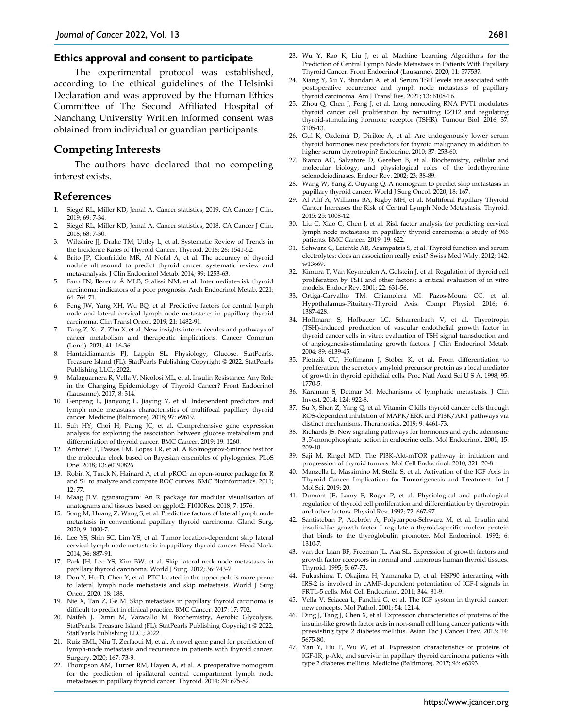#### **Ethics approval and consent to participate**

The experimental protocol was established, according to the ethical guidelines of the Helsinki Declaration and was approved by the Human Ethics Committee of The Second Affiliated Hospital of Nanchang University Written informed consent was obtained from individual or guardian participants.

## **Competing Interests**

The authors have declared that no competing interest exists.

### **References**

- 1. Siegel RL, Miller KD, Jemal A. Cancer statistics, 2019. CA Cancer J Clin. 2019; 69: 7-34.
- 2. Siegel RL, Miller KD, Jemal A. Cancer statistics, 2018. CA Cancer J Clin. 2018; 68: 7-30.
- 3. Wiltshire JJ, Drake TM, Uttley L, et al. Systematic Review of Trends in the Incidence Rates of Thyroid Cancer. Thyroid. 2016; 26: 1541-52.
- 4. Brito JP, Gionfriddo MR, Al Nofal A, et al. The accuracy of thyroid nodule ultrasound to predict thyroid cancer: systematic review and meta-analysis. J Clin Endocrinol Metab. 2014; 99: 1253-63.
- 5. Faro FN, Bezerra MLB, Scalissi NM, et al. Intermediate-risk thyroid carcinoma: indicators of a poor prognosis. Arch Endocrinol Metab. 2021; 64: 764-71.
- 6. Feng JW, Yang XH, Wu BQ, et al. Predictive factors for central lymph node and lateral cervical lymph node metastases in papillary thyroid carcinoma. Clin Transl Oncol. 2019; 21: 1482-91.
- 7. Tang Z, Xu Z, Zhu X, et al. New insights into molecules and pathways of cancer metabolism and therapeutic implications. Cancer Commun (Lond). 2021; 41: 16-36.
- 8. Hantzidiamantis PJ, Lappin SL. Physiology, Glucose. StatPearls. Treasure Island (FL): StatPearls Publishing Copyright © 2022, StatPearls Publishing LLC.; 2022.
- 9. Malaguarnera R, Vella V, Nicolosi ML, et al. Insulin Resistance: Any Role in the Changing Epidemiology of Thyroid Cancer? Front Endocrinol (Lausanne). 2017; 8: 314.
- 10. Genpeng L, Jianyong L, Jiaying Y, et al. Independent predictors and lymph node metastasis characteristics of multifocal papillary thyroid cancer. Medicine (Baltimore). 2018; 97: e9619.
- 11. Suh HY, Choi H, Paeng JC, et al. Comprehensive gene expression analysis for exploring the association between glucose metabolism and differentiation of thyroid cancer. BMC Cancer. 2019; 19: 1260.
- 12. Antoneli F, Passos FM, Lopes LR, et al. A Kolmogorov-Smirnov test for the molecular clock based on Bayesian ensembles of phylogenies. PLoS One. 2018; 13: e0190826.
- 13. Robin X, Turck N, Hainard A, et al. pROC: an open-source package for R and S+ to analyze and compare ROC curves. BMC Bioinformatics. 2011; 12: 77.
- 14. Maag JLV. gganatogram: An R package for modular visualisation of anatograms and tissues based on ggplot2. F1000Res. 2018; 7: 1576.
- 15. Song M, Huang Z, Wang S, et al. Predictive factors of lateral lymph node metastasis in conventional papillary thyroid carcinoma. Gland Surg. 2020; 9: 1000-7.
- 16. Lee YS, Shin SC, Lim YS, et al. Tumor location-dependent skip lateral cervical lymph node metastasis in papillary thyroid cancer. Head Neck. 2014; 36: 887-91.
- 17. Park JH, Lee YS, Kim BW, et al. Skip lateral neck node metastases in papillary thyroid carcinoma. World J Surg. 2012; 36: 743-7.
- 18. Dou Y, Hu D, Chen Y, et al. PTC located in the upper pole is more prone to lateral lymph node metastasis and skip metastasis. World J Surg Oncol. 2020; 18: 188.
- 19. Nie X, Tan Z, Ge M. Skip metastasis in papillary thyroid carcinoma is difficult to predict in clinical practice. BMC Cancer. 2017; 17: 702.
- 20. Naifeh J, Dimri M, Varacallo M. Biochemistry, Aerobic Glycolysis. StatPearls. Treasure Island (FL): StatPearls Publishing Copyright © 2022, StatPearls Publishing LLC.; 2022.
- 21. Ruiz EML, Niu T, Zerfaoui M, et al. A novel gene panel for prediction of lymph-node metastasis and recurrence in patients with thyroid cancer. Surgery. 2020; 167: 73-9.
- 22. Thompson AM, Turner RM, Hayen A, et al. A preoperative nomogram for the prediction of ipsilateral central compartment lymph node metastases in papillary thyroid cancer. Thyroid. 2014; 24: 675-82.
- 23. Wu Y, Rao K, Liu J, et al. Machine Learning Algorithms for the Prediction of Central Lymph Node Metastasis in Patients With Papillary Thyroid Cancer. Front Endocrinol (Lausanne). 2020; 11: 577537.
- 24. Xiang Y, Xu Y, Bhandari A, et al. Serum TSH levels are associated with postoperative recurrence and lymph node metastasis of papillary thyroid carcinoma. Am J Transl Res. 2021; 13: 6108-16.
- 25. Zhou Q, Chen J, Feng J, et al. Long noncoding RNA PVT1 modulates thyroid cancer cell proliferation by recruiting EZH2 and regulating thyroid-stimulating hormone receptor (TSHR). Tumour Biol. 2016; 37: 3105-13.
- 26. Gul K, Ozdemir D, Dirikoc A, et al. Are endogenously lower serum thyroid hormones new predictors for thyroid malignancy in addition to higher serum thyrotropin? Endocrine. 2010; 37: 253-60.
- 27. Bianco AC, Salvatore D, Gereben B, et al. Biochemistry, cellular and molecular biology, and physiological roles of the iodothyronine selenodeiodinases. Endocr Rev. 2002; 23: 38-89.
- 28. Wang W, Yang Z, Ouyang Q. A nomogram to predict skip metastasis in papillary thyroid cancer. World J Surg Oncol. 2020; 18: 167.
- 29. Al Afif A, Williams BA, Rigby MH, et al. Multifocal Papillary Thyroid Cancer Increases the Risk of Central Lymph Node Metastasis. Thyroid. 2015; 25: 1008-12.
- 30. Liu C, Xiao C, Chen J, et al. Risk factor analysis for predicting cervical lymph node metastasis in papillary thyroid carcinoma: a study of 966 patients. BMC Cancer. 2019; 19: 622.
- 31. Schwarz C, Leichtle AB, Arampatzis S, et al. Thyroid function and serum electrolytes: does an association really exist? Swiss Med Wkly. 2012; 142: w13669.
- 32. Kimura T, Van Keymeulen A, Golstein J, et al. Regulation of thyroid cell proliferation by TSH and other factors: a critical evaluation of in vitro models. Endocr Rev. 2001; 22: 631-56.
- 33. Ortiga-Carvalho TM, Chiamolera MI, Pazos-Moura CC, et al. Hypothalamus-Pituitary-Thyroid Axis. Compr Physiol. 2016; 6: 1387-428.
- 34. Hoffmann S, Hofbauer LC, Scharrenbach V, et al. Thyrotropin (TSH)-induced production of vascular endothelial growth factor in thyroid cancer cells in vitro: evaluation of TSH signal transduction and of angiogenesis-stimulating growth factors. J Clin Endocrinol Metab. 2004; 89: 6139-45.
- 35. Pietrzik CU, Hoffmann J, Stöber K, et al. From differentiation to proliferation: the secretory amyloid precursor protein as a local mediator of growth in thyroid epithelial cells. Proc Natl Acad Sci U S A. 1998; 95: 1770-5.
- 36. Karaman S, Detmar M. Mechanisms of lymphatic metastasis. J Clin Invest. 2014; 124: 922-8.
- 37. Su X, Shen Z, Yang Q, et al. Vitamin C kills thyroid cancer cells through ROS-dependent inhibition of MAPK/ERK and PI3K/AKT pathways via distinct mechanisms. Theranostics. 2019; 9: 4461-73.
- 38. Richards JS. New signaling pathways for hormones and cyclic adenosine 3',5'-monophosphate action in endocrine cells. Mol Endocrinol. 2001; 15: 209-18.
- 39. Saji M, Ringel MD. The PI3K-Akt-mTOR pathway in initiation and progression of thyroid tumors. Mol Cell Endocrinol. 2010; 321: 20-8.
- 40. Manzella L, Massimino M, Stella S, et al. Activation of the IGF Axis in Thyroid Cancer: Implications for Tumorigenesis and Treatment. Int J Mol Sci. 2019; 20.
- 41. Dumont JE, Lamy F, Roger P, et al. Physiological and pathological regulation of thyroid cell proliferation and differentiation by thyrotropin and other factors. Physiol Rev. 1992; 72: 667-97.
- 42. Santisteban P, Acebrón A, Polycarpou-Schwarz M, et al. Insulin and insulin-like growth factor I regulate a thyroid-specific nuclear protein that binds to the thyroglobulin promoter. Mol Endocrinol. 1992; 6: 1310-7.
- 43. van der Laan BF, Freeman JL, Asa SL. Expression of growth factors and growth factor receptors in normal and tumorous human thyroid tissues. Thyroid. 1995; 5: 67-73.
- 44. Fukushima T, Okajima H, Yamanaka D, et al. HSP90 interacting with IRS-2 is involved in cAMP-dependent potentiation of IGF-I signals in FRTL-5 cells. Mol Cell Endocrinol. 2011; 344: 81-9.
- 45. Vella V, Sciacca L, Pandini G, et al. The IGF system in thyroid cancer: new concepts. Mol Pathol. 2001; 54: 121-4.
- 46. Ding J, Tang J, Chen X, et al. Expression characteristics of proteins of the insulin-like growth factor axis in non-small cell lung cancer patients with preexisting type 2 diabetes mellitus. Asian Pac J Cancer Prev. 2013; 14: 5675-80.
- 47. Yan Y, Hu F, Wu W, et al. Expression characteristics of proteins of IGF-1R, p-Akt, and survivin in papillary thyroid carcinoma patients with type 2 diabetes mellitus. Medicine (Baltimore). 2017; 96: e6393.